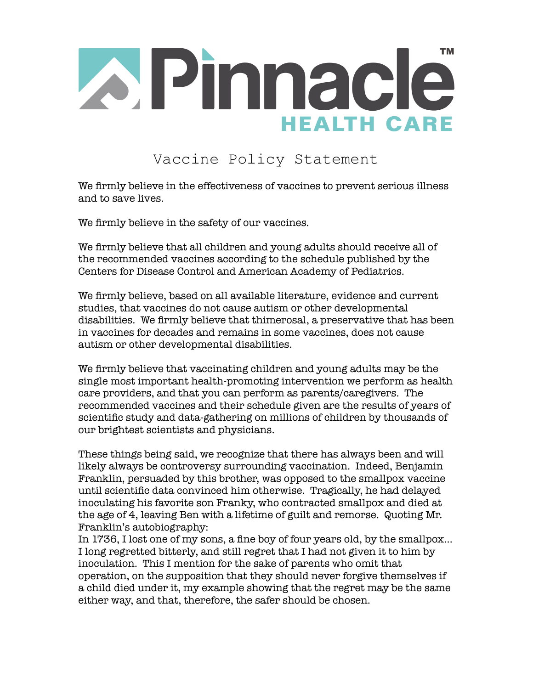

## Vaccine Policy Statement

We firmly believe in the effectiveness of vaccines to prevent serious illness and to save lives.

We firmly believe in the safety of our vaccines.

We firmly believe that all children and young adults should receive all of the recommended vaccines according to the schedule published by the Centers for Disease Control and American Academy of Pediatrics.

We firmly believe, based on all available literature, evidence and current studies, that vaccines do not cause autism or other developmental disabilities. We firmly believe that thimerosal, a preservative that has been in vaccines for decades and remains in some vaccines, does not cause autism or other developmental disabilities.

We firmly believe that vaccinating children and young adults may be the single most important health-promoting intervention we perform as health care providers, and that you can perform as parents/caregivers. The recommended vaccines and their schedule given are the results of years of scientific study and data-gathering on millions of children by thousands of our brightest scientists and physicians.

These things being said, we recognize that there has always been and will likely always be controversy surrounding vaccination. Indeed, Benjamin Franklin, persuaded by this brother, was opposed to the smallpox vaccine until scientific data convinced him otherwise. Tragically, he had delayed inoculating his favorite son Franky, who contracted smallpox and died at the age of 4, leaving Ben with a lifetime of guilt and remorse. Quoting Mr. Franklin's autobiography:

In 1736, I lost one of my sons, a fine boy of four years old, by the smallpox… I long regretted bitterly, and still regret that I had not given it to him by inoculation. This I mention for the sake of parents who omit that operation, on the supposition that they should never forgive themselves if a child died under it, my example showing that the regret may be the same either way, and that, therefore, the safer should be chosen.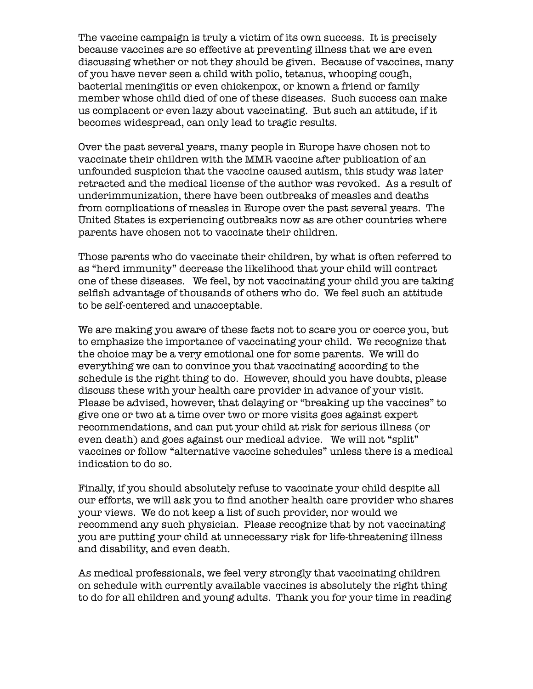The vaccine campaign is truly a victim of its own success. It is precisely because vaccines are so effective at preventing illness that we are even discussing whether or not they should be given. Because of vaccines, many of you have never seen a child with polio, tetanus, whooping cough, bacterial meningitis or even chickenpox, or known a friend or family member whose child died of one of these diseases. Such success can make us complacent or even lazy about vaccinating. But such an attitude, if it becomes widespread, can only lead to tragic results.

Over the past several years, many people in Europe have chosen not to vaccinate their children with the MMR vaccine after publication of an unfounded suspicion that the vaccine caused autism, this study was later retracted and the medical license of the author was revoked. As a result of underimmunization, there have been outbreaks of measles and deaths from complications of measles in Europe over the past several years. The United States is experiencing outbreaks now as are other countries where parents have chosen not to vaccinate their children.

Those parents who do vaccinate their children, by what is often referred to as "herd immunity" decrease the likelihood that your child will contract one of these diseases. We feel, by not vaccinating your child you are taking selfish advantage of thousands of others who do. We feel such an attitude to be self-centered and unacceptable.

We are making you aware of these facts not to scare you or coerce you, but to emphasize the importance of vaccinating your child. We recognize that the choice may be a very emotional one for some parents. We will do everything we can to convince you that vaccinating according to the schedule is the right thing to do. However, should you have doubts, please discuss these with your health care provider in advance of your visit. Please be advised, however, that delaying or "breaking up the vaccines" to give one or two at a time over two or more visits goes against expert recommendations, and can put your child at risk for serious illness (or even death) and goes against our medical advice. We will not "split" vaccines or follow "alternative vaccine schedules" unless there is a medical indication to do so.

Finally, if you should absolutely refuse to vaccinate your child despite all our efforts, we will ask you to find another health care provider who shares your views. We do not keep a list of such provider, nor would we recommend any such physician. Please recognize that by not vaccinating you are putting your child at unnecessary risk for life-threatening illness and disability, and even death.

As medical professionals, we feel very strongly that vaccinating children on schedule with currently available vaccines is absolutely the right thing to do for all children and young adults. Thank you for your time in reading